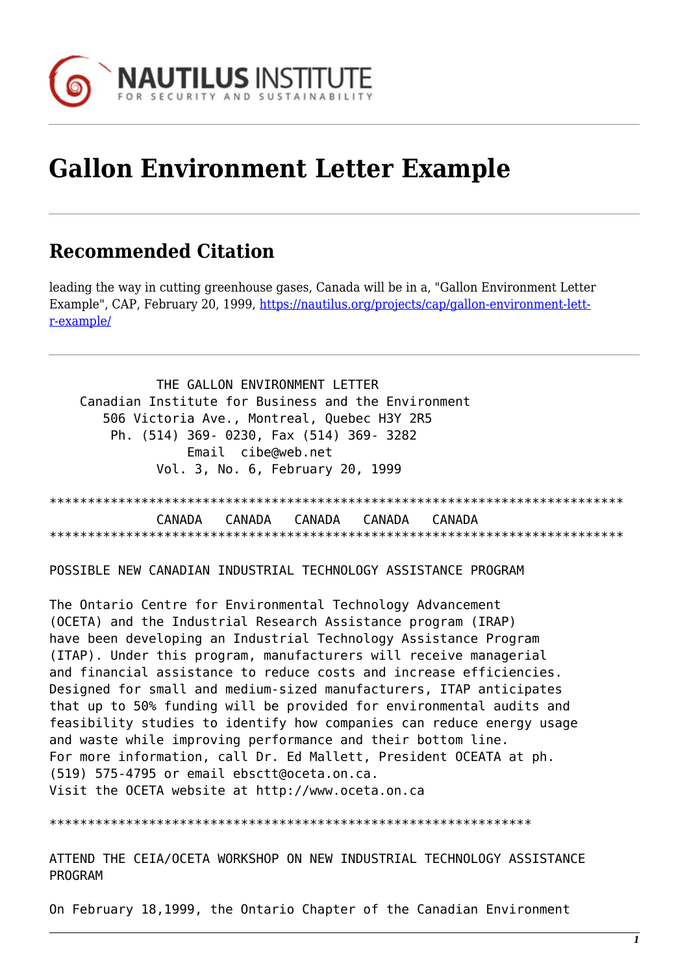

# **Gallon Environment Letter Example**

# **Recommended Citation**

leading the way in cutting greenhouse gases, Canada will be in a, "Gallon Environment Letter Example", CAP, February 20, 1999, [https://nautilus.org/projects/cap/gallon-environment-lett](https://nautilus.org/projects/cap/gallon-environment-letter-example/)[r-example/](https://nautilus.org/projects/cap/gallon-environment-letter-example/)

 THE GALLON ENVIRONMENT LETTER Canadian Institute for Business and the Environment 506 Victoria Ave., Montreal, Quebec H3Y 2R5 Ph. (514) 369- 0230, Fax (514) 369- 3282 Email cibe@web.net Vol. 3, No. 6, February 20, 1999

\*\*\*\*\*\*\*\*\*\*\*\*\*\*\*\*\*\*\*\*\*\*\*\*\*\*\*\*\*\*\*\*\*\*\*\*\*\*\*\*\*\*\*\*\*\*\*\*\*\*\*\*\*\*\*\*\*\*\*\*\*\*\*\*\*\*\*\*\*\*\*\*\*\*\* CANADA CANADA CANADA CANADA CANADA \*\*\*\*\*\*\*\*\*\*\*\*\*\*\*\*\*\*\*\*\*\*\*\*\*\*\*\*\*\*\*\*\*\*\*\*\*\*\*\*\*\*\*\*\*\*\*\*\*\*\*\*\*\*\*\*\*\*\*\*\*\*\*\*\*\*\*\*\*\*\*\*\*\*\*

POSSIBLE NEW CANADIAN INDUSTRIAL TECHNOLOGY ASSISTANCE PROGRAM

The Ontario Centre for Environmental Technology Advancement (OCETA) and the Industrial Research Assistance program (IRAP) have been developing an Industrial Technology Assistance Program (ITAP). Under this program, manufacturers will receive managerial and financial assistance to reduce costs and increase efficiencies. Designed for small and medium-sized manufacturers, ITAP anticipates that up to 50% funding will be provided for environmental audits and feasibility studies to identify how companies can reduce energy usage and waste while improving performance and their bottom line. For more information, call Dr. Ed Mallett, President OCEATA at ph. (519) 575-4795 or email ebsctt@oceta.on.ca. Visit the OCETA website at http://www.oceta.on.ca

\*\*\*\*\*\*\*\*\*\*\*\*\*\*\*\*\*\*\*\*\*\*\*\*\*\*\*\*\*\*\*\*\*\*\*\*\*\*\*\*\*\*\*\*\*\*\*\*\*\*\*\*\*\*\*\*\*\*\*\*\*\*\*

ATTEND THE CEIA/OCETA WORKSHOP ON NEW INDUSTRIAL TECHNOLOGY ASSISTANCE PROGRAM

On February 18,1999, the Ontario Chapter of the Canadian Environment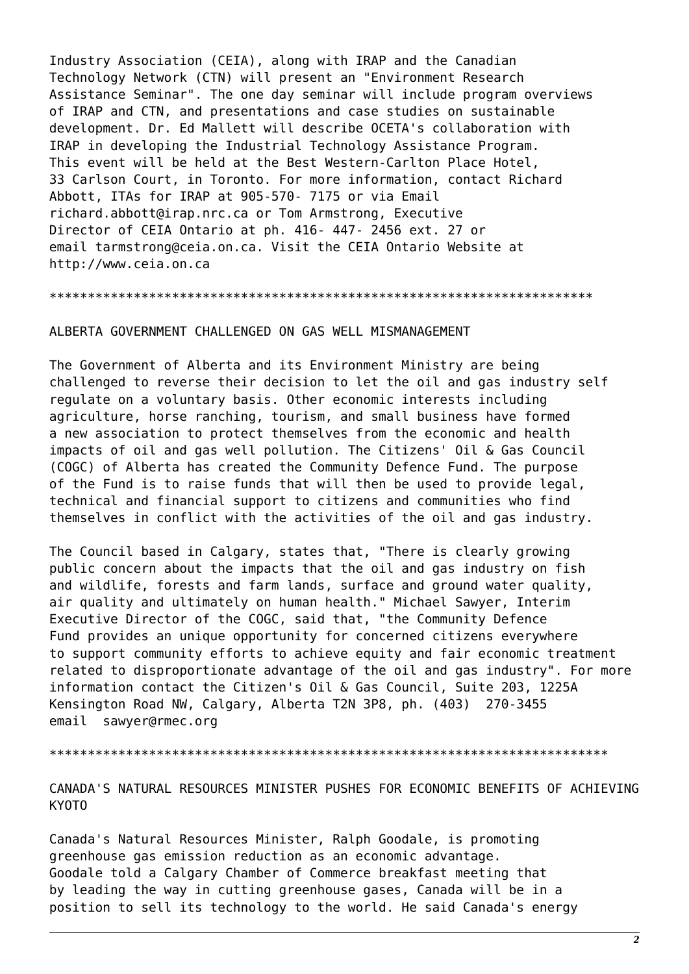Industry Association (CEIA), along with IRAP and the Canadian Technology Network (CTN) will present an "Environment Research Assistance Seminar". The one day seminar will include program overviews of IRAP and CTN, and presentations and case studies on sustainable development. Dr. Ed Mallett will describe OCETA's collaboration with IRAP in developing the Industrial Technology Assistance Program. This event will be held at the Best Western-Carlton Place Hotel, 33 Carlson Court, in Toronto. For more information, contact Richard Abbott, ITAs for IRAP at 905-570- 7175 or via Email richard.abbott@irap.nrc.ca or Tom Armstrong, Executive Director of CEIA Ontario at ph. 416- 447- 2456 ext. 27 or email tarmstrong@ceia.on.ca. Visit the CEIA Ontario Website at http://www.ceia.on.ca

#### \*\*\*\*\*\*\*\*\*\*\*\*\*\*\*\*\*\*\*\*\*\*\*\*\*\*\*\*\*\*\*\*\*\*\*\*\*\*\*\*\*\*\*\*\*\*\*\*\*\*\*\*\*\*\*\*\*\*\*\*\*\*\*\*\*\*\*\*\*\*\*

## ALBERTA GOVERNMENT CHALLENGED ON GAS WELL MISMANAGEMENT

The Government of Alberta and its Environment Ministry are being challenged to reverse their decision to let the oil and gas industry self regulate on a voluntary basis. Other economic interests including agriculture, horse ranching, tourism, and small business have formed a new association to protect themselves from the economic and health impacts of oil and gas well pollution. The Citizens' Oil & Gas Council (COGC) of Alberta has created the Community Defence Fund. The purpose of the Fund is to raise funds that will then be used to provide legal, technical and financial support to citizens and communities who find themselves in conflict with the activities of the oil and gas industry.

The Council based in Calgary, states that, "There is clearly growing public concern about the impacts that the oil and gas industry on fish and wildlife, forests and farm lands, surface and ground water quality, air quality and ultimately on human health." Michael Sawyer, Interim Executive Director of the COGC, said that, "the Community Defence Fund provides an unique opportunity for concerned citizens everywhere to support community efforts to achieve equity and fair economic treatment related to disproportionate advantage of the oil and gas industry". For more information contact the Citizen's Oil & Gas Council, Suite 203, 1225A Kensington Road NW, Calgary, Alberta T2N 3P8, ph. (403) 270-3455 email sawyer@rmec.org

\*\*\*\*\*\*\*\*\*\*\*\*\*\*\*\*\*\*\*\*\*\*\*\*\*\*\*\*\*\*\*\*\*\*\*\*\*\*\*\*\*\*\*\*\*\*\*\*\*\*\*\*\*\*\*\*\*\*\*\*\*\*\*\*\*\*\*\*\*\*\*\*\*

CANADA'S NATURAL RESOURCES MINISTER PUSHES FOR ECONOMIC BENEFITS OF ACHIEVING KYOTO

Canada's Natural Resources Minister, Ralph Goodale, is promoting greenhouse gas emission reduction as an economic advantage. Goodale told a Calgary Chamber of Commerce breakfast meeting that by leading the way in cutting greenhouse gases, Canada will be in a position to sell its technology to the world. He said Canada's energy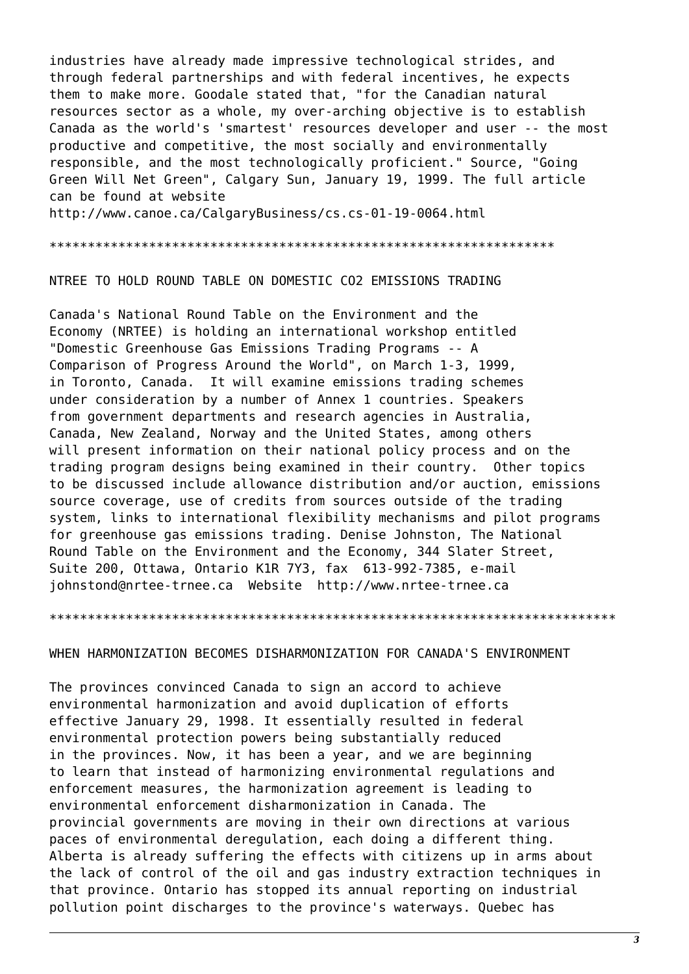industries have already made impressive technological strides, and through federal partnerships and with federal incentives, he expects them to make more. Goodale stated that, "for the Canadian natural resources sector as a whole, my over-arching objective is to establish Canada as the world's 'smartest' resources developer and user -- the most productive and competitive, the most socially and environmentally responsible, and the most technologically proficient." Source, "Going Green Will Net Green", Calgary Sun, January 19, 1999. The full article can be found at website http://www.canoe.ca/CalgaryBusiness/cs.cs-01-19-0064.html

\*\*\*\*\*\*\*\*\*\*\*\*\*\*\*\*\*\*\*\*\*\*\*\*\*\*\*\*\*\*\*\*\*\*\*\*\*\*\*\*\*\*\*\*\*\*\*\*\*\*\*\*\*\*\*\*\*\*\*\*\*\*\*\*\*\*

NTREE TO HOLD ROUND TABLE ON DOMESTIC CO2 EMISSIONS TRADING

Canada's National Round Table on the Environment and the Economy (NRTEE) is holding an international workshop entitled "Domestic Greenhouse Gas Emissions Trading Programs -- A Comparison of Progress Around the World", on March 1-3, 1999, in Toronto, Canada. It will examine emissions trading schemes under consideration by a number of Annex 1 countries. Speakers from government departments and research agencies in Australia, Canada, New Zealand, Norway and the United States, among others will present information on their national policy process and on the trading program designs being examined in their country. Other topics to be discussed include allowance distribution and/or auction, emissions source coverage, use of credits from sources outside of the trading system, links to international flexibility mechanisms and pilot programs for greenhouse gas emissions trading. Denise Johnston, The National Round Table on the Environment and the Economy, 344 Slater Street, Suite 200, Ottawa, Ontario K1R 7Y3, fax 613-992-7385, e-mail johnstond@nrtee-trnee.ca Website http://www.nrtee-trnee.ca

#### \*\*\*\*\*\*\*\*\*\*\*\*\*\*\*\*\*\*\*\*\*\*\*\*\*\*\*\*\*\*\*\*\*\*\*\*\*\*\*\*\*\*\*\*\*\*\*\*\*\*\*\*\*\*\*\*\*\*\*\*\*\*\*\*\*\*\*\*\*\*\*\*\*\*

#### WHEN HARMONIZATION BECOMES DISHARMONIZATION FOR CANADA'S ENVIRONMENT

The provinces convinced Canada to sign an accord to achieve environmental harmonization and avoid duplication of efforts effective January 29, 1998. It essentially resulted in federal environmental protection powers being substantially reduced in the provinces. Now, it has been a year, and we are beginning to learn that instead of harmonizing environmental regulations and enforcement measures, the harmonization agreement is leading to environmental enforcement disharmonization in Canada. The provincial governments are moving in their own directions at various paces of environmental deregulation, each doing a different thing. Alberta is already suffering the effects with citizens up in arms about the lack of control of the oil and gas industry extraction techniques in that province. Ontario has stopped its annual reporting on industrial pollution point discharges to the province's waterways. Quebec has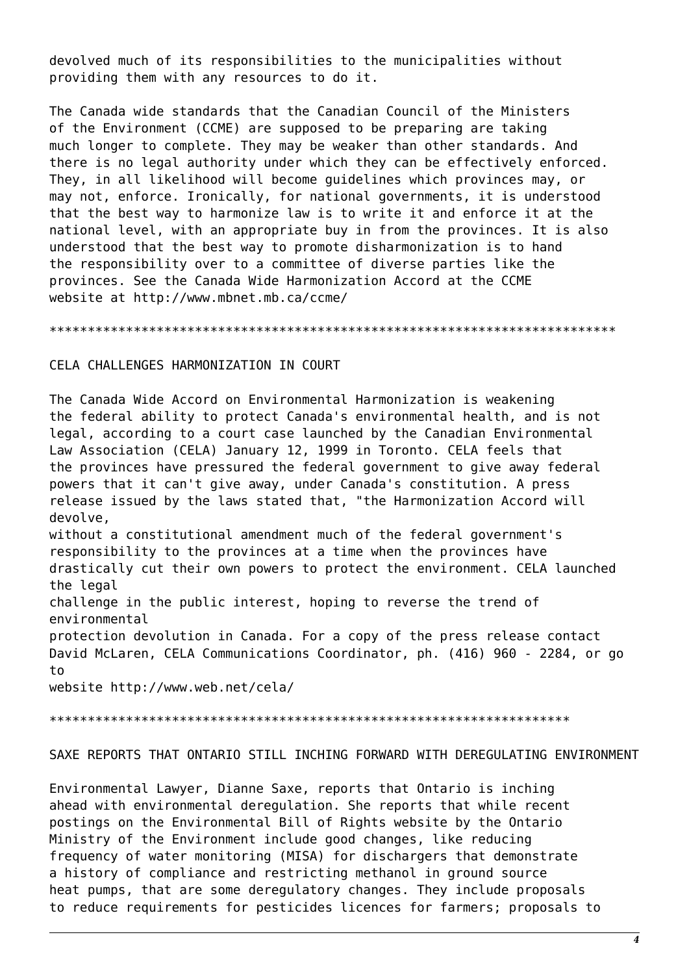devolved much of its responsibilities to the municipalities without providing them with any resources to do it.

The Canada wide standards that the Canadian Council of the Ministers of the Environment (CCME) are supposed to be preparing are taking much longer to complete. They may be weaker than other standards. And there is no legal authority under which they can be effectively enforced. They, in all likelihood will become guidelines which provinces may, or may not, enforce. Ironically, for national governments, it is understood that the best way to harmonize law is to write it and enforce it at the national level, with an appropriate buy in from the provinces. It is also understood that the best way to promote disharmonization is to hand the responsibility over to a committee of diverse parties like the provinces. See the Canada Wide Harmonization Accord at the CCME website at http://www.mbnet.mb.ca/ccme/

CELA CHALLENGES HARMONIZATION IN COURT

The Canada Wide Accord on Environmental Harmonization is weakening the federal ability to protect Canada's environmental health, and is not legal, according to a court case launched by the Canadian Environmental Law Association (CELA) January 12, 1999 in Toronto. CELA feels that the provinces have pressured the federal government to give away federal powers that it can't give away, under Canada's constitution. A press release issued by the laws stated that, "the Harmonization Accord will devolve.

without a constitutional amendment much of the federal government's responsibility to the provinces at a time when the provinces have drastically cut their own powers to protect the environment. CELA launched the legal

challenge in the public interest, hoping to reverse the trend of environmental

protection devolution in Canada. For a copy of the press release contact David McLaren, CELA Communications Coordinator, ph. (416) 960 - 2284, or go  $t_{0}$ 

website http://www.web.net/cela/

SAXE REPORTS THAT ONTARIO STILL INCHING FORWARD WITH DEREGULATING ENVIRONMENT

Environmental Lawyer, Dianne Saxe, reports that Ontario is inching ahead with environmental deregulation. She reports that while recent postings on the Environmental Bill of Rights website by the Ontario Ministry of the Environment include good changes, like reducing frequency of water monitoring (MISA) for dischargers that demonstrate a history of compliance and restricting methanol in ground source heat pumps, that are some deregulatory changes. They include proposals to reduce requirements for pesticides licences for farmers; proposals to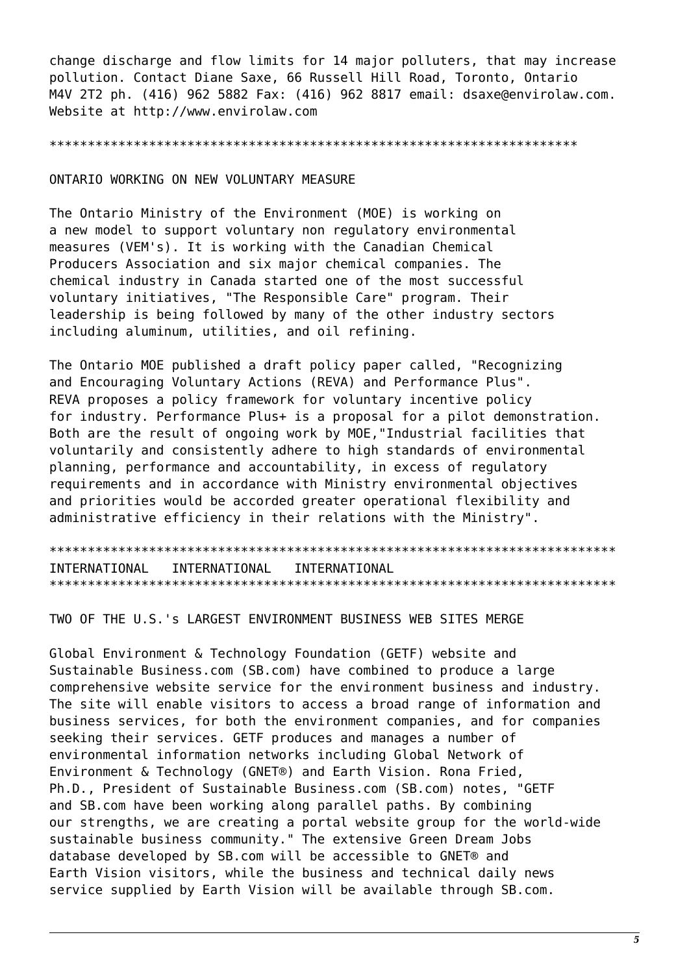change discharge and flow limits for 14 major polluters, that may increase pollution. Contact Diane Saxe, 66 Russell Hill Road, Toronto, Ontario M4V 2T2 ph. (416) 962 5882 Fax: (416) 962 8817 email: dsaxe@envirolaw.com. Website at http://www.envirolaw.com

#### ONTARIO WORKING ON NEW VOLUNTARY MEASURE

The Ontario Ministry of the Environment (MOE) is working on a new model to support voluntary non regulatory environmental measures (VEM's). It is working with the Canadian Chemical Producers Association and six major chemical companies. The chemical industry in Canada started one of the most successful voluntary initiatives, "The Responsible Care" program. Their leadership is being followed by many of the other industry sectors including aluminum, utilities, and oil refining.

The Ontario MOE published a draft policy paper called, "Recognizing and Encouraging Voluntary Actions (REVA) and Performance Plus". REVA proposes a policy framework for voluntary incentive policy for industry. Performance Plus+ is a proposal for a pilot demonstration. Both are the result of ongoing work by MOE, "Industrial facilities that voluntarily and consistently adhere to high standards of environmental planning, performance and accountability, in excess of regulatory requirements and in accordance with Ministry environmental objectives and priorities would be accorded greater operational flexibility and administrative efficiency in their relations with the Ministry".

TNTFRNATTONAL INTERNATIONAL INTERNATIONAL 

TWO OF THE U.S.'s LARGEST ENVIRONMENT BUSINESS WEB SITES MERGE

Global Environment & Technology Foundation (GETF) website and Sustainable Business.com (SB.com) have combined to produce a large comprehensive website service for the environment business and industry. The site will enable visitors to access a broad range of information and business services, for both the environment companies, and for companies seeking their services. GETF produces and manages a number of environmental information networks including Global Network of Environment & Technology (GNET®) and Earth Vision. Rona Fried, Ph.D., President of Sustainable Business.com (SB.com) notes, "GETF and SB.com have been working along parallel paths. By combining our strengths, we are creating a portal website group for the world-wide sustainable business community." The extensive Green Dream Jobs database developed by SB.com will be accessible to GNET® and Earth Vision visitors, while the business and technical daily news service supplied by Earth Vision will be available through SB.com.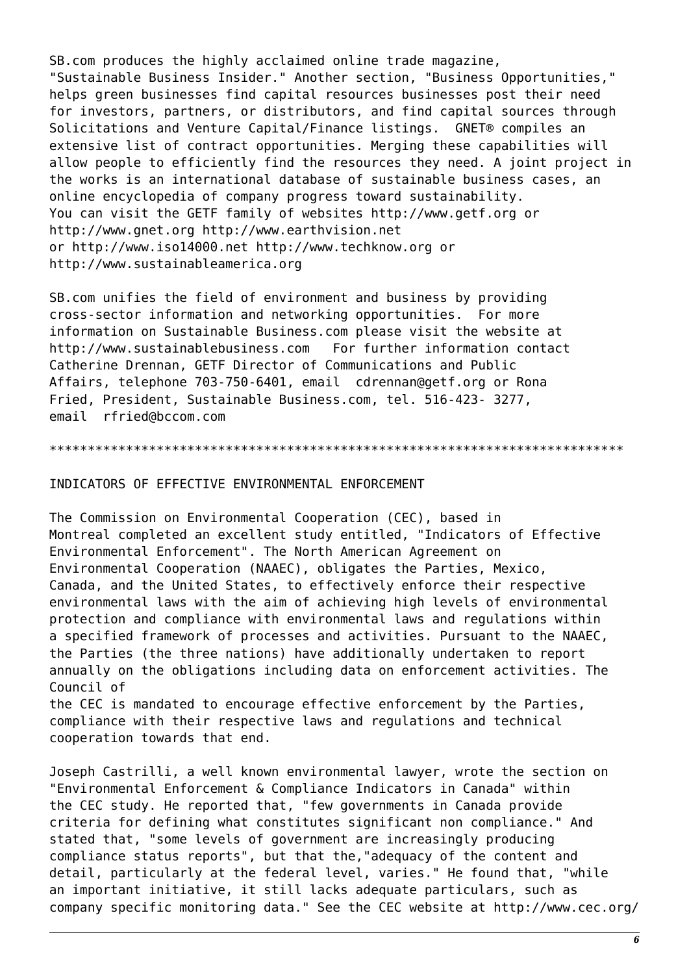SB.com produces the highly acclaimed online trade magazine, "Sustainable Business Insider." Another section, "Business Opportunities," helps green businesses find capital resources businesses post their need for investors, partners, or distributors, and find capital sources through Solicitations and Venture Capital/Finance listings. GNET® compiles an extensive list of contract opportunities. Merging these capabilities will allow people to efficiently find the resources they need. A joint project in the works is an international database of sustainable business cases, an online encyclopedia of company progress toward sustainability. You can visit the GETF family of websites http://www.getf.org or http://www.gnet.org http://www.earthvision.net or http://www.iso14000.net http://www.techknow.org or http://www.sustainableamerica.org

SB.com unifies the field of environment and business by providing cross-sector information and networking opportunities. For more information on Sustainable Business.com please visit the website at http://www.sustainablebusiness.com For further information contact Catherine Drennan, GETF Director of Communications and Public Affairs, telephone 703-750-6401, email cdrennan@getf.org or Rona Fried, President, Sustainable Business.com, tel. 516-423- 3277, email rfried@bccom.com

\*\*\*\*\*\*\*\*\*\*\*\*\*\*\*\*\*\*\*\*\*\*\*\*\*\*\*\*\*\*\*\*\*\*\*\*\*\*\*\*\*\*\*\*\*\*\*\*\*\*\*\*\*\*\*\*\*\*\*\*\*\*\*\*\*\*\*\*\*\*\*\*\*\*\*

## INDICATORS OF EFFECTIVE ENVIRONMENTAL ENFORCEMENT

The Commission on Environmental Cooperation (CEC), based in Montreal completed an excellent study entitled, "Indicators of Effective Environmental Enforcement". The North American Agreement on Environmental Cooperation (NAAEC), obligates the Parties, Mexico, Canada, and the United States, to effectively enforce their respective environmental laws with the aim of achieving high levels of environmental protection and compliance with environmental laws and regulations within a specified framework of processes and activities. Pursuant to the NAAEC, the Parties (the three nations) have additionally undertaken to report annually on the obligations including data on enforcement activities. The Council of

the CEC is mandated to encourage effective enforcement by the Parties, compliance with their respective laws and regulations and technical cooperation towards that end.

Joseph Castrilli, a well known environmental lawyer, wrote the section on "Environmental Enforcement & Compliance Indicators in Canada" within the CEC study. He reported that, "few governments in Canada provide criteria for defining what constitutes significant non compliance." And stated that, "some levels of government are increasingly producing compliance status reports", but that the,"adequacy of the content and detail, particularly at the federal level, varies." He found that, "while an important initiative, it still lacks adequate particulars, such as company specific monitoring data." See the CEC website at http://www.cec.org/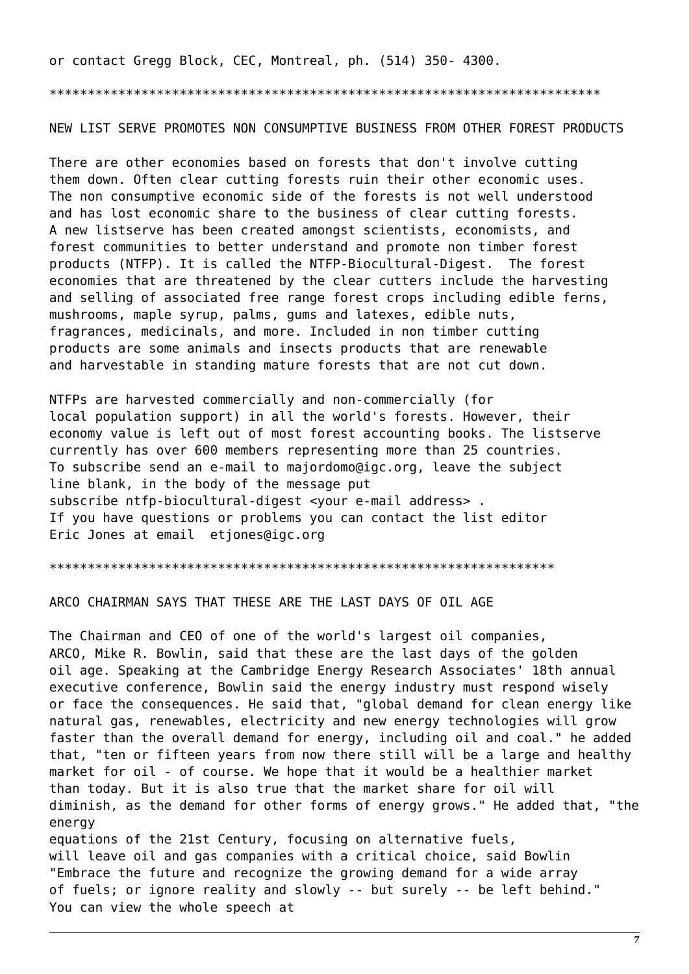or contact Gregg Block, CEC, Montreal, ph. (514) 350-4300.

NEW LIST SERVE PROMOTES NON CONSUMPTIVE BUSINESS FROM OTHER FOREST PRODUCTS

There are other economies based on forests that don't involve cutting them down. Often clear cutting forests ruin their other economic uses. The non consumptive economic side of the forests is not well understood and has lost economic share to the business of clear cutting forests. A new listserve has been created amongst scientists, economists, and forest communities to better understand and promote non timber forest products (NTFP). It is called the NTFP-Biocultural-Digest. The forest economies that are threatened by the clear cutters include the harvesting and selling of associated free range forest crops including edible ferns, mushrooms, maple syrup, palms, gums and latexes, edible nuts, fragrances, medicinals, and more. Included in non timber cutting products are some animals and insects products that are renewable and harvestable in standing mature forests that are not cut down.

NTFPs are harvested commercially and non-commercially (for local population support) in all the world's forests. However, their economy value is left out of most forest accounting books. The listserve currently has over 600 members representing more than 25 countries. To subscribe send an e-mail to majordomo@igc.org, leave the subject line blank, in the body of the message put subscribe ntfp-biocultural-digest <your e-mail address>. If you have questions or problems you can contact the list editor Eric Jones at email etiones@igc.org

ARCO CHAIRMAN SAYS THAT THESE ARE THE LAST DAYS OF OIL AGE

The Chairman and CEO of one of the world's largest oil companies, ARCO, Mike R. Bowlin, said that these are the last days of the golden oil age. Speaking at the Cambridge Energy Research Associates' 18th annual executive conference, Bowlin said the energy industry must respond wisely or face the consequences. He said that, "global demand for clean energy like natural gas, renewables, electricity and new energy technologies will grow faster than the overall demand for energy, including oil and coal." he added that, "ten or fifteen years from now there still will be a large and healthy market for oil - of course. We hope that it would be a healthier market than today. But it is also true that the market share for oil will diminish, as the demand for other forms of energy grows." He added that, "the enerav equations of the 21st Century, focusing on alternative fuels, will leave oil and gas companies with a critical choice, said Bowlin "Embrace the future and recognize the growing demand for a wide array of fuels; or ignore reality and slowly -- but surely -- be left behind."

You can view the whole speech at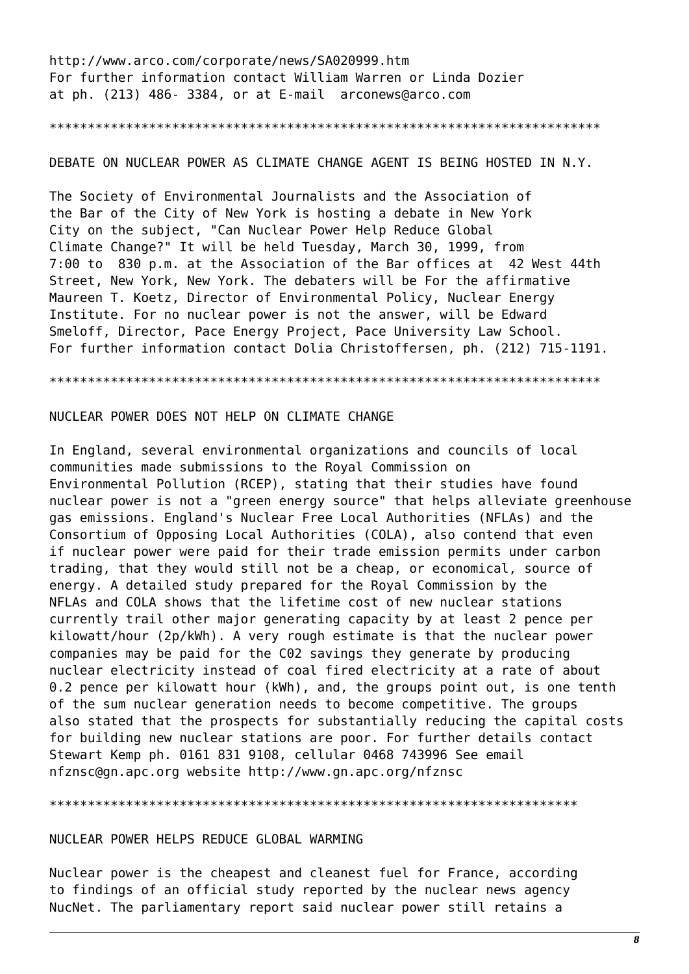http://www.arco.com/corporate/news/SA020999.htm For further information contact William Warren or Linda Dozier at ph. (213) 486- 3384, or at E-mail arconews@arco.com

\*\*\*\*\*\*\*\*\*\*\*\*\*\*\*\*\*\*\*\*\*\*\*\*\*\*\*\*\*\*\*\*\*\*\*\*\*\*\*\*\*\*\*\*\*\*\*\*\*\*\*\*\*\*\*\*\*\*\*\*\*\*\*\*\*\*\*\*\*\*\*\*

## DEBATE ON NUCLEAR POWER AS CLIMATE CHANGE AGENT IS BEING HOSTED IN N.Y.

The Society of Environmental Journalists and the Association of the Bar of the City of New York is hosting a debate in New York City on the subject, "Can Nuclear Power Help Reduce Global Climate Change?" It will be held Tuesday, March 30, 1999, from 7:00 to 830 p.m. at the Association of the Bar offices at 42 West 44th Street, New York, New York. The debaters will be For the affirmative Maureen T. Koetz, Director of Environmental Policy, Nuclear Energy Institute. For no nuclear power is not the answer, will be Edward Smeloff, Director, Pace Energy Project, Pace University Law School. For further information contact Dolia Christoffersen, ph. (212) 715-1191.

\*\*\*\*\*\*\*\*\*\*\*\*\*\*\*\*\*\*\*\*\*\*\*\*\*\*\*\*\*\*\*\*\*\*\*\*\*\*\*\*\*\*\*\*\*\*\*\*\*\*\*\*\*\*\*\*\*\*\*\*\*\*\*\*\*\*\*\*\*\*\*\*

# NUCLEAR POWER DOES NOT HELP ON CLIMATE CHANGE

In England, several environmental organizations and councils of local communities made submissions to the Royal Commission on Environmental Pollution (RCEP), stating that their studies have found nuclear power is not a "green energy source" that helps alleviate greenhouse gas emissions. England's Nuclear Free Local Authorities (NFLAs) and the Consortium of Opposing Local Authorities (COLA), also contend that even if nuclear power were paid for their trade emission permits under carbon trading, that they would still not be a cheap, or economical, source of energy. A detailed study prepared for the Royal Commission by the NFLAs and COLA shows that the lifetime cost of new nuclear stations currently trail other major generating capacity by at least 2 pence per kilowatt/hour (2p/kWh). A very rough estimate is that the nuclear power companies may be paid for the C02 savings they generate by producing nuclear electricity instead of coal fired electricity at a rate of about 0.2 pence per kilowatt hour (kWh), and, the groups point out, is one tenth of the sum nuclear generation needs to become competitive. The groups also stated that the prospects for substantially reducing the capital costs for building new nuclear stations are poor. For further details contact Stewart Kemp ph. 0161 831 9108, cellular 0468 743996 See email nfznsc@gn.apc.org website http://www.gn.apc.org/nfznsc

#### \*\*\*\*\*\*\*\*\*\*\*\*\*\*\*\*\*\*\*\*\*\*\*\*\*\*\*\*\*\*\*\*\*\*\*\*\*\*\*\*\*\*\*\*\*\*\*\*\*\*\*\*\*\*\*\*\*\*\*\*\*\*\*\*\*\*\*\*\*

## NUCLEAR POWER HELPS REDUCE GLOBAL WARMING

Nuclear power is the cheapest and cleanest fuel for France, according to findings of an official study reported by the nuclear news agency NucNet. The parliamentary report said nuclear power still retains a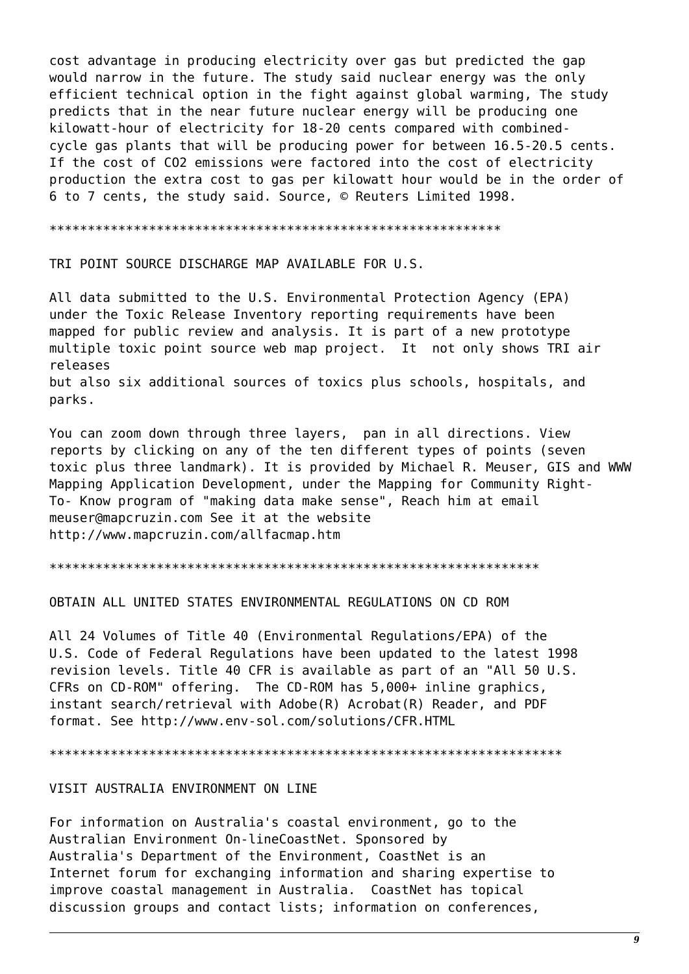cost advantage in producing electricity over gas but predicted the gap would narrow in the future. The study said nuclear energy was the only efficient technical option in the fight against global warming, The study predicts that in the near future nuclear energy will be producing one kilowatt-hour of electricity for 18-20 cents compared with combinedcycle gas plants that will be producing power for between 16.5-20.5 cents. If the cost of CO2 emissions were factored into the cost of electricity production the extra cost to gas per kilowatt hour would be in the order of 6 to 7 cents, the study said. Source, © Reuters Limited 1998.

TRI POINT SOURCE DISCHARGE MAP AVAILABLE FOR U.S.

All data submitted to the U.S. Environmental Protection Agency (EPA) under the Toxic Release Inventory reporting requirements have been mapped for public review and analysis. It is part of a new prototype multiple toxic point source web map project. It not only shows TRI air releases but also six additional sources of toxics plus schools, hospitals, and parks.

You can zoom down through three layers, pan in all directions. View reports by clicking on any of the ten different types of points (seven toxic plus three landmark). It is provided by Michael R. Meuser, GIS and WWW Mapping Application Development, under the Mapping for Community Right-To- Know program of "making data make sense", Reach him at email meuser@mapcruzin.com See it at the website http://www.mapcruzin.com/allfacmap.htm

OBTAIN ALL UNITED STATES ENVIRONMENTAL REGULATIONS ON CD ROM

All 24 Volumes of Title 40 (Environmental Regulations/EPA) of the U.S. Code of Federal Regulations have been updated to the latest 1998 revision levels. Title 40 CFR is available as part of an "All 50 U.S. CFRs on CD-ROM" offering. The CD-ROM has 5,000+ inline graphics, instant search/retrieval with Adobe(R) Acrobat(R) Reader, and PDF format, See http://www.env-sol.com/solutions/CFR.HTML

#### VISIT AUSTRALIA ENVIRONMENT ON LINE

For information on Australia's coastal environment, go to the Australian Environment On-lineCoastNet. Sponsored by Australia's Department of the Environment, CoastNet is an Internet forum for exchanging information and sharing expertise to improve coastal management in Australia. CoastNet has topical discussion groups and contact lists; information on conferences,